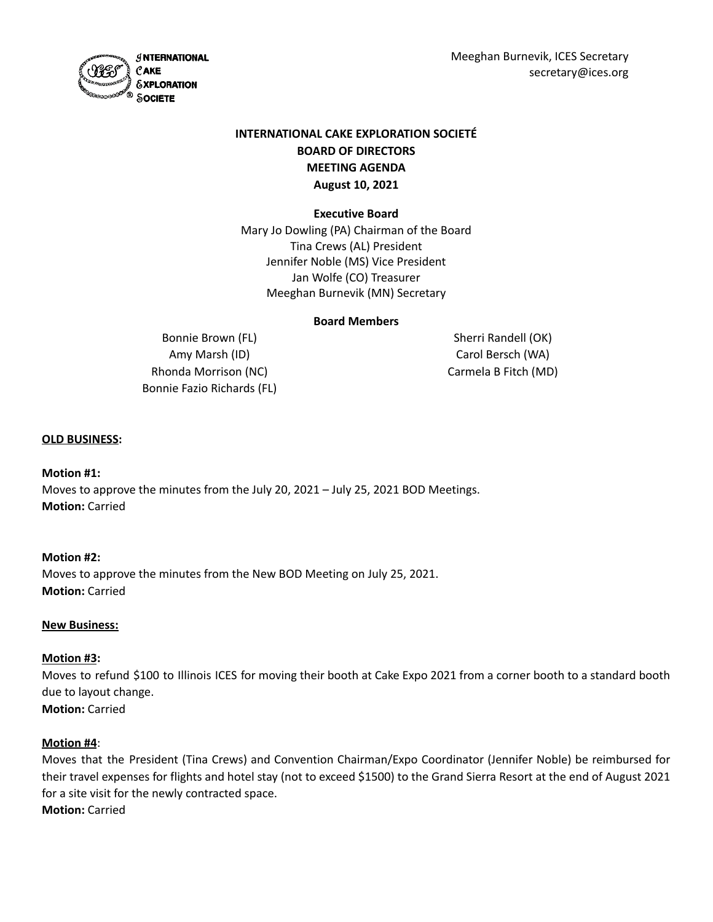Meeghan Burnevik, ICES Secretary secretary@ices.org

*S***NTERNATIONAL**  $\mathcal C$ AKE *SXPLORATION* SOCIETE

# **INTERNATIONAL CAKE EXPLORATION SOCIETÉ BOARD OF DIRECTORS MEETING AGENDA August 10, 2021**

# **Executive Board**

Mary Jo Dowling (PA) Chairman of the Board Tina Crews (AL) President Jennifer Noble (MS) Vice President Jan Wolfe (CO) Treasurer Meeghan Burnevik (MN) Secretary

# **Board Members**

Bonnie Brown (FL) Amy Marsh (ID) Rhonda Morrison (NC) Bonnie Fazio Richards (FL)

Sherri Randell (OK) Carol Bersch (WA) Carmela B Fitch (MD)

## **OLD BUSINESS:**

### **Motion #1:**

Moves to approve the minutes from the July 20, 2021 – July 25, 2021 BOD Meetings. **Motion:** Carried

### **Motion #2:**

Moves to approve the minutes from the New BOD Meeting on July 25, 2021. **Motion:** Carried

### **New Business:**

# **Motion #3:**

Moves to refund \$100 to Illinois ICES for moving their booth at Cake Expo 2021 from a corner booth to a standard booth due to layout change. **Motion:** Carried

### **Motion #4**:

Moves that the President (Tina Crews) and Convention Chairman/Expo Coordinator (Jennifer Noble) be reimbursed for their travel expenses for flights and hotel stay (not to exceed \$1500) to the Grand Sierra Resort at the end of August 2021 for a site visit for the newly contracted space. **Motion:** Carried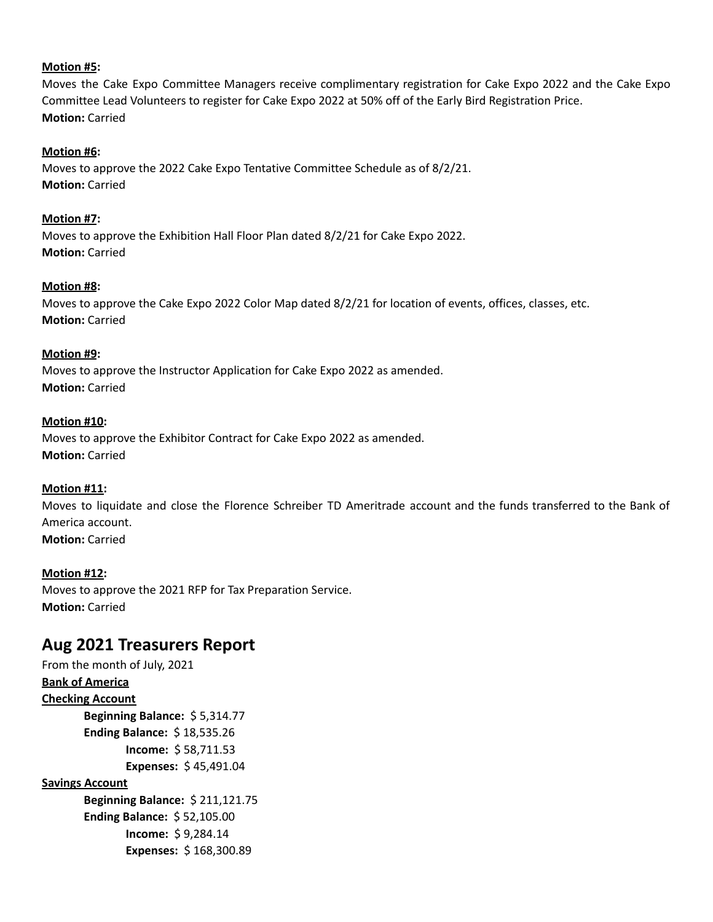# **Motion #5:**

Moves the Cake Expo Committee Managers receive complimentary registration for Cake Expo 2022 and the Cake Expo Committee Lead Volunteers to register for Cake Expo 2022 at 50% off of the Early Bird Registration Price. **Motion:** Carried

## **Motion #6:**

Moves to approve the 2022 Cake Expo Tentative Committee Schedule as of 8/2/21. **Motion:** Carried

## **Motion #7:**

Moves to approve the Exhibition Hall Floor Plan dated 8/2/21 for Cake Expo 2022. **Motion:** Carried

## **Motion #8:**

Moves to approve the Cake Expo 2022 Color Map dated 8/2/21 for location of events, offices, classes, etc. **Motion:** Carried

## **Motion #9:**

Moves to approve the Instructor Application for Cake Expo 2022 as amended. **Motion:** Carried

## **Motion #10:**

Moves to approve the Exhibitor Contract for Cake Expo 2022 as amended. **Motion:** Carried

### **Motion #11:**

Moves to liquidate and close the Florence Schreiber TD Ameritrade account and the funds transferred to the Bank of America account. **Motion:** Carried

### **Motion #12:**

Moves to approve the 2021 RFP for Tax Preparation Service. **Motion:** Carried

# **Aug 2021 Treasurers Report**

From the month of July, 2021 **Bank of America Checking Account Beginning Balance:** \$ 5,314.77 **Ending Balance:** \$ 18,535.26 **Income:** \$ 58,711.53 **Expenses:** \$ 45,491.04 **Savings Account**

> **Beginning Balance:** \$ 211,121.75 **Ending Balance:** \$ 52,105.00 **Income:** \$ 9,284.14 **Expenses:** \$ 168,300.89